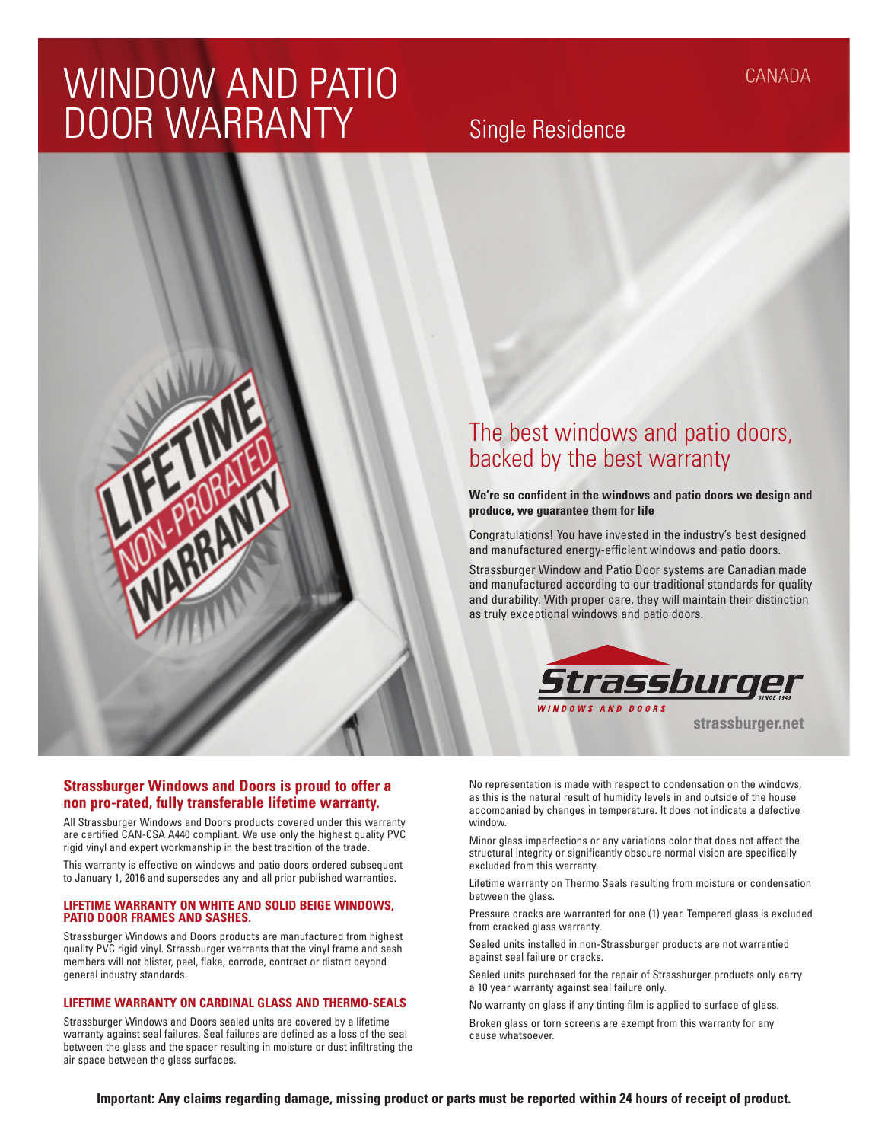# WINDOW AND PATIO DOOR WARRANTY

## Single Residence



**We're so confident in the windows and patio doors we design and produce, we guarantee them for life**

Congratulations! You have invested in the industry's best designed and manufactured energy-efficient windows and patio doors.

Strassburger Window and Patio Door systems are Canadian made and manufactured according to our traditional standards for quality and durability. With proper care, they will maintain their distinction as truly exceptional windows and patio doors.



**strassburger.net**

**Strassburger Windows and Doors is proud to offer a non pro-rated, fully transferable lifetime warranty.**

**PROTACT** 

All Strassburger Windows and Doors products covered under this warranty are certified CAN-CSA A440 compliant. We use only the highest quality PVC rigid vinyl and expert workmanship in the best tradition of the trade.

This warranty is effective on windows and patio doors ordered subsequent to January 1, 2016 and supersedes any and all prior published warranties.

#### **LIFETIME WARRANTY ON WHITE AND SOLID BEIGE WINDOWS, PATIO DOOR FRAMES AND SASHES.**

Strassburger Windows and Doors products are manufactured from highest quality PVC rigid vinyl. Strassburger warrants that the vinyl frame and sash members will not blister, peel, flake, corrode, contract or distort beyond general industry standards.

### **LIFETIME WARRANTY ON CARDINAL GLASS AND THERMO-SEALS**

Strassburger Windows and Doors sealed units are covered by a lifetime warranty against seal failures. Seal failures are defined as a loss of the seal between the glass and the spacer resulting in moisture or dust infiltrating the air space between the glass surfaces.

No representation is made with respect to condensation on the windows, as this is the natural result of humidity levels in and outside of the house accompanied by changes in temperature. It does not indicate a defective window.

Minor glass imperfections or any variations color that does not affect the structural integrity or significantly obscure normal vision are specifically excluded from this warranty.

Lifetime warranty on Thermo Seals resulting from moisture or condensation between the glass.

Pressure cracks are warranted for one (1) year. Tempered glass is excluded from cracked glass warranty.

Sealed units installed in non-Strassburger products are not warrantied against seal failure or cracks.

Sealed units purchased for the repair of Strassburger products only carry a 10 year warranty against seal failure only.

No warranty on glass if any tinting film is applied to surface of glass. Broken glass or torn screens are exempt from this warranty for any cause whatsoever.